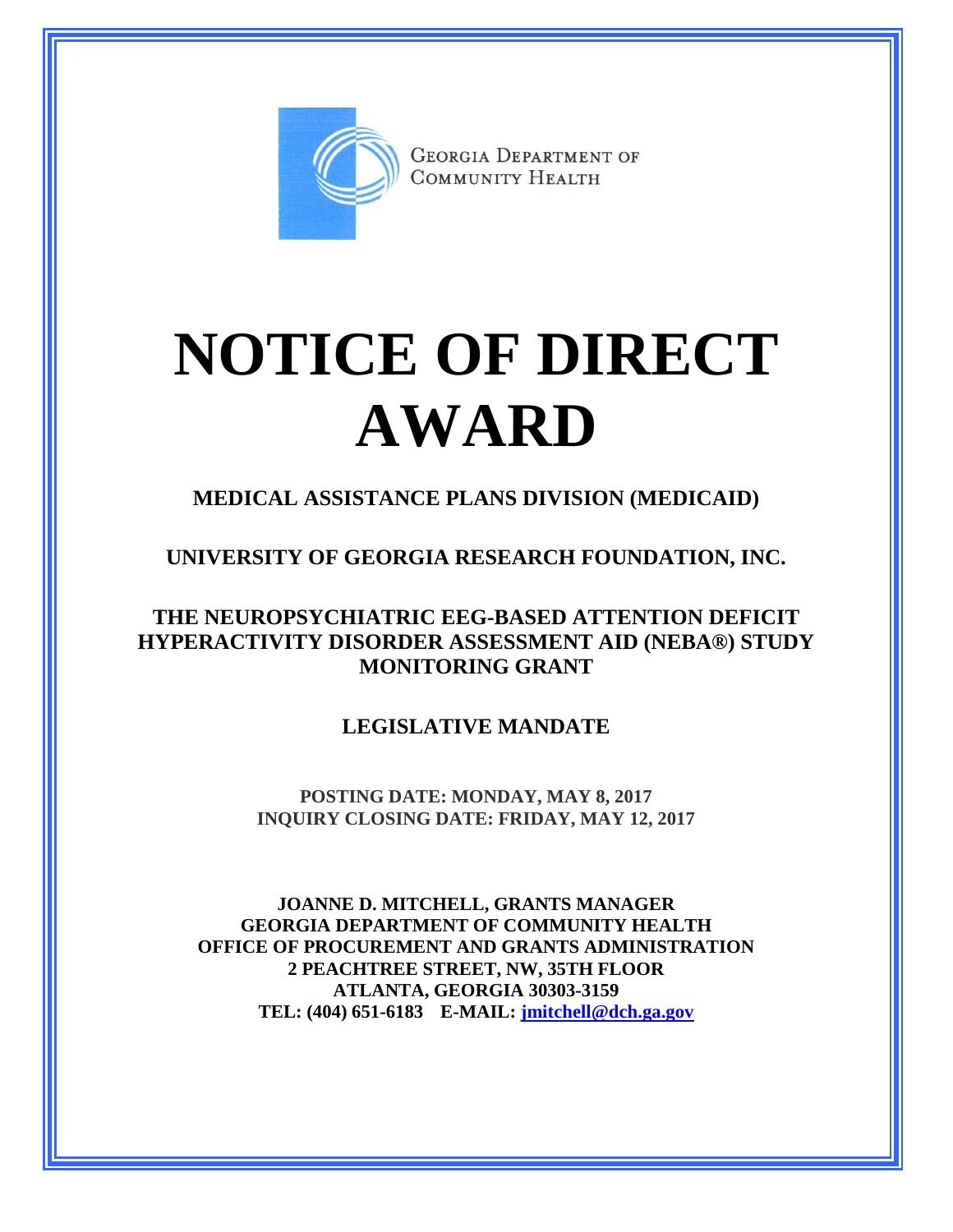

**GEORGIA DEPARTMENT OF** COMMUNITY HEALTH

## **NOTICE OF DIRECT AWARD**

**MEDICAL ASSISTANCE PLANS DIVISION (MEDICAID)**

**UNIVERSITY OF GEORGIA RESEARCH FOUNDATION, INC.**

**THE NEUROPSYCHIATRIC EEG-BASED ATTENTION DEFICIT HYPERACTIVITY DISORDER ASSESSMENT AID (NEBA®) STUDY MONITORING GRANT**

**LEGISLATIVE MANDATE**

**POSTING DATE: MONDAY, MAY 8, 2017 INQUIRY CLOSING DATE: FRIDAY, MAY 12, 2017**

**JOANNE D. MITCHELL, GRANTS MANAGER GEORGIA DEPARTMENT OF COMMUNITY HEALTH OFFICE OF PROCUREMENT AND GRANTS ADMINISTRATION 2 PEACHTREE STREET, NW, 35TH FLOOR ATLANTA, GEORGIA 30303-3159 TEL: (404) 651-6183 E-MAIL: [jmitchell@dch.ga.gov](mailto:awatson@dch.ga.gov)**